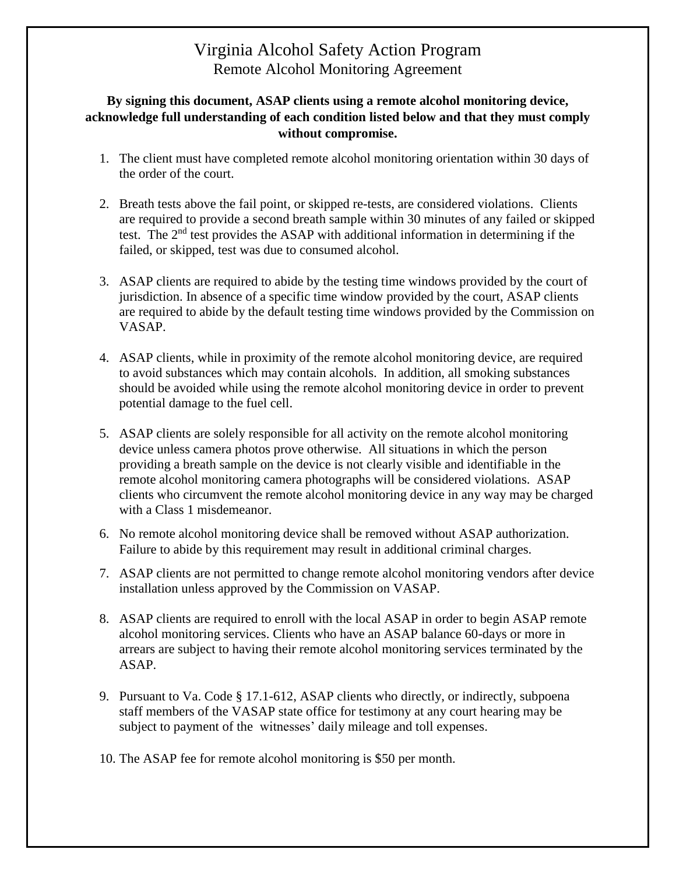## Virginia Alcohol Safety Action Program Remote Alcohol Monitoring Agreement

## **By signing this document, ASAP clients using a remote alcohol monitoring device, acknowledge full understanding of each condition listed below and that they must comply without compromise.**

- 1. The client must have completed remote alcohol monitoring orientation within 30 days of the order of the court.
- 2. Breath tests above the fail point, or skipped re-tests, are considered violations. Clients are required to provide a second breath sample within 30 minutes of any failed or skipped test. The 2nd test provides the ASAP with additional information in determining if the failed, or skipped, test was due to consumed alcohol.
- 3. ASAP clients are required to abide by the testing time windows provided by the court of jurisdiction. In absence of a specific time window provided by the court, ASAP clients are required to abide by the default testing time windows provided by the Commission on VASAP.
- 4. ASAP clients, while in proximity of the remote alcohol monitoring device, are required to avoid substances which may contain alcohols. In addition, all smoking substances should be avoided while using the remote alcohol monitoring device in order to prevent potential damage to the fuel cell.
- 5. ASAP clients are solely responsible for all activity on the remote alcohol monitoring device unless camera photos prove otherwise. All situations in which the person providing a breath sample on the device is not clearly visible and identifiable in the remote alcohol monitoring camera photographs will be considered violations. ASAP clients who circumvent the remote alcohol monitoring device in any way may be charged with a Class 1 misdemeanor.
- 6. No remote alcohol monitoring device shall be removed without ASAP authorization. Failure to abide by this requirement may result in additional criminal charges.
- 7. ASAP clients are not permitted to change remote alcohol monitoring vendors after device installation unless approved by the Commission on VASAP.
- 8. ASAP clients are required to enroll with the local ASAP in order to begin ASAP remote alcohol monitoring services. Clients who have an ASAP balance 60-days or more in arrears are subject to having their remote alcohol monitoring services terminated by the ASAP.
- 9. Pursuant to Va. Code § 17.1-612, ASAP clients who directly, or indirectly, subpoena staff members of the VASAP state office for testimony at any court hearing may be subject to payment of the witnesses' daily mileage and toll expenses.
- 10. The ASAP fee for remote alcohol monitoring is \$50 per month.